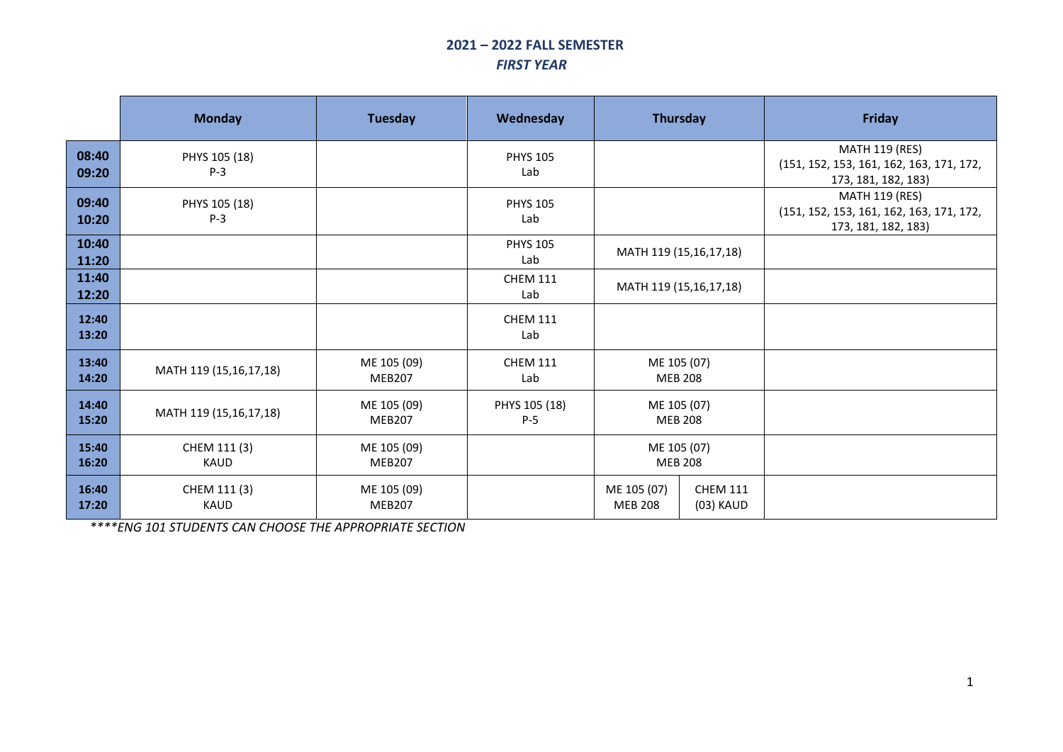## **2021 – 2022 FALL SEMESTER** *FIRST YEAR*

|                | <b>Monday</b>               | <b>Tuesday</b>               | Wednesday              |                               | Thursday                      | <b>Friday</b>                                                                            |
|----------------|-----------------------------|------------------------------|------------------------|-------------------------------|-------------------------------|------------------------------------------------------------------------------------------|
| 08:40<br>09:20 | PHYS 105 (18)<br>$P-3$      |                              | <b>PHYS 105</b><br>Lab |                               |                               | <b>MATH 119 (RES)</b><br>(151, 152, 153, 161, 162, 163, 171, 172,<br>173, 181, 182, 183) |
| 09:40<br>10:20 | PHYS 105 (18)<br>$P-3$      |                              | <b>PHYS 105</b><br>Lab |                               |                               | <b>MATH 119 (RES)</b><br>(151, 152, 153, 161, 162, 163, 171, 172,<br>173, 181, 182, 183) |
| 10:40<br>11:20 |                             |                              | <b>PHYS 105</b><br>Lab |                               | MATH 119 (15,16,17,18)        |                                                                                          |
| 11:40<br>12:20 |                             |                              | <b>CHEM 111</b><br>Lab |                               | MATH 119 (15,16,17,18)        |                                                                                          |
| 12:40<br>13:20 |                             |                              | <b>CHEM 111</b><br>Lab |                               |                               |                                                                                          |
| 13:40<br>14:20 | MATH 119 (15,16,17,18)      | ME 105 (09)<br><b>MEB207</b> | <b>CHEM 111</b><br>Lab | <b>MEB 208</b>                | ME 105 (07)                   |                                                                                          |
| 14:40<br>15:20 | MATH 119 (15,16,17,18)      | ME 105 (09)<br><b>MEB207</b> | PHYS 105 (18)<br>$P-5$ |                               | ME 105 (07)<br><b>MEB 208</b> |                                                                                          |
| 15:40<br>16:20 | CHEM 111 (3)<br><b>KAUD</b> | ME 105 (09)<br><b>MEB207</b> |                        | <b>MEB 208</b>                | ME 105 (07)                   |                                                                                          |
| 16:40<br>17:20 | CHEM 111 (3)<br><b>KAUD</b> | ME 105 (09)<br><b>MEB207</b> |                        | ME 105 (07)<br><b>MEB 208</b> | <b>CHEM 111</b><br>(03) KAUD  |                                                                                          |

*\*\*\*\*ENG 101 STUDENTS CAN CHOOSE THE APPROPRIATE SECTION*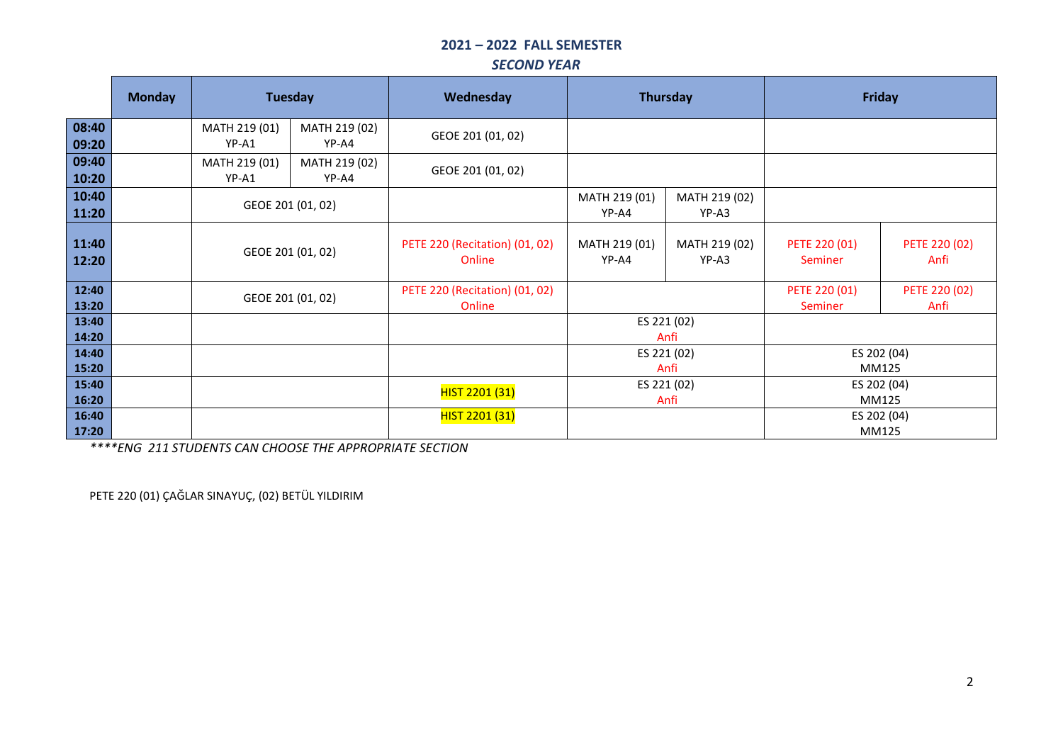# **2021 – 2022 FALL SEMESTER**

#### *SECOND YEAR*

|                | <b>Monday</b> | <b>Tuesday</b>         |                        | Thursday<br>Wednesday                    |                        |                        | <b>Friday</b>            |                       |
|----------------|---------------|------------------------|------------------------|------------------------------------------|------------------------|------------------------|--------------------------|-----------------------|
| 08:40<br>09:20 |               | MATH 219 (01)<br>YP-A1 | MATH 219 (02)<br>YP-A4 | GEOE 201 (01, 02)                        |                        |                        |                          |                       |
| 09:40<br>10:20 |               | MATH 219 (01)<br>YP-A1 | MATH 219 (02)<br>YP-A4 | GEOE 201 (01, 02)                        |                        |                        |                          |                       |
| 10:40<br>11:20 |               | GEOE 201 (01, 02)      |                        |                                          | MATH 219 (01)<br>YP-A4 | MATH 219 (02)<br>YP-A3 |                          |                       |
| 11:40<br>12:20 |               |                        | GEOE 201 (01, 02)      | PETE 220 (Recitation) (01, 02)<br>Online | MATH 219 (01)<br>YP-A4 | MATH 219 (02)<br>YP-A3 | PETE 220 (01)<br>Seminer | PETE 220 (02)<br>Anfi |
| 12:40<br>13:20 |               | GEOE 201 (01, 02)      |                        | PETE 220 (Recitation) (01, 02)<br>Online |                        |                        | PETE 220 (01)<br>Seminer | PETE 220 (02)<br>Anfi |
| 13:40<br>14:20 |               |                        |                        |                                          |                        | ES 221 (02)<br>Anfi    |                          |                       |
| 14:40<br>15:20 |               |                        |                        |                                          | ES 221 (02)<br>Anfi    |                        | ES 202 (04)<br>MM125     |                       |
| 15:40<br>16:20 |               |                        |                        | HIST 2201 (31)                           | ES 221 (02)<br>Anfi    |                        | ES 202 (04)<br>MM125     |                       |
| 16:40<br>17:20 |               |                        |                        | HIST 2201 (31)                           |                        |                        | ES 202 (04)<br>MM125     |                       |

*\*\*\*\*ENG 211 STUDENTS CAN CHOOSE THE APPROPRIATE SECTION*

PETE 220 (01) ÇAĞLAR SINAYUÇ, (02) BETÜL YILDIRIM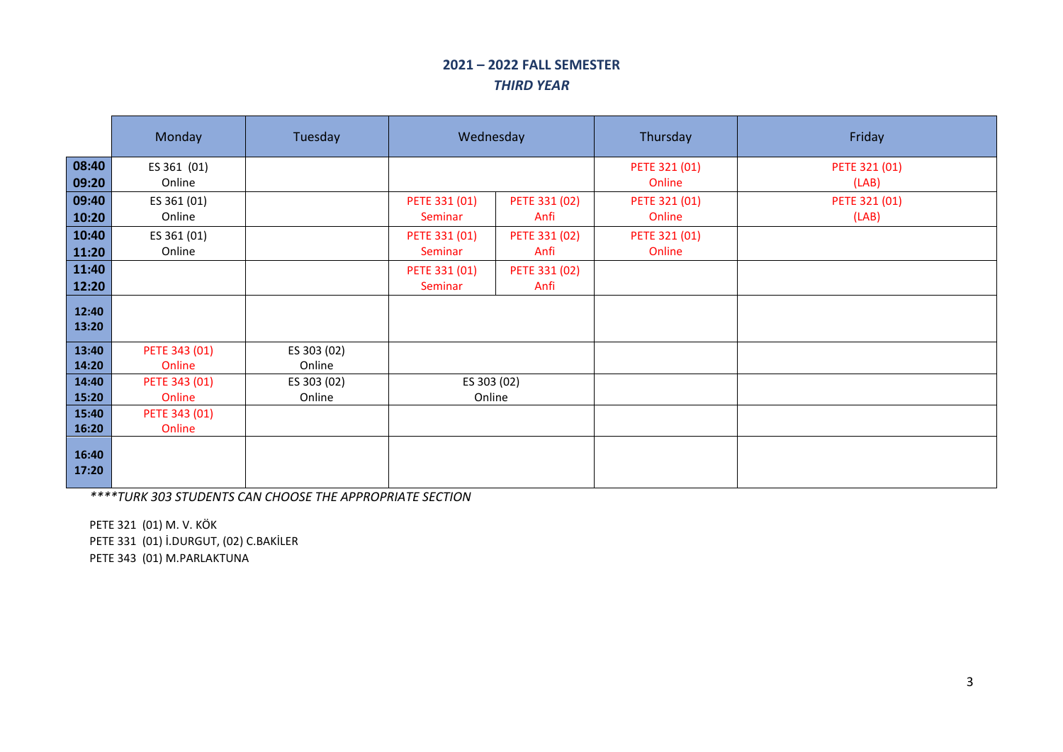#### **2021 – 2022 FALL SEMESTER** *THIRD YEAR*

|       | Monday        | Tuesday     | Wednesday     |               | Thursday      | Friday        |
|-------|---------------|-------------|---------------|---------------|---------------|---------------|
| 08:40 | ES 361 (01)   |             |               |               | PETE 321 (01) | PETE 321 (01) |
| 09:20 | Online        |             |               |               | Online        | (LAB)         |
| 09:40 | ES 361 (01)   |             | PETE 331 (01) | PETE 331 (02) | PETE 321 (01) | PETE 321 (01) |
| 10:20 | Online        |             | Seminar       | Anfi          | Online        | (LAB)         |
| 10:40 | ES 361 (01)   |             | PETE 331 (01) | PETE 331 (02) | PETE 321 (01) |               |
| 11:20 | Online        |             | Seminar       | Anfi          | Online        |               |
| 11:40 |               |             | PETE 331 (01) | PETE 331 (02) |               |               |
| 12:20 |               |             | Seminar       | Anfi          |               |               |
| 12:40 |               |             |               |               |               |               |
| 13:20 |               |             |               |               |               |               |
| 13:40 | PETE 343 (01) | ES 303 (02) |               |               |               |               |
| 14:20 | Online        | Online      |               |               |               |               |
| 14:40 | PETE 343 (01) | ES 303 (02) | ES 303 (02)   |               |               |               |
| 15:20 | Online        | Online      | Online        |               |               |               |
| 15:40 | PETE 343 (01) |             |               |               |               |               |
| 16:20 | Online        |             |               |               |               |               |
| 16:40 |               |             |               |               |               |               |
| 17:20 |               |             |               |               |               |               |
|       |               |             |               |               |               |               |

*\*\*\*\*TURK 303 STUDENTS CAN CHOOSE THE APPROPRIATE SECTION* 

PETE 321 (01) M. V. KÖK PETE 331 (01) İ.DURGUT, (02) C.BAKİLER PETE 343 (01) M.PARLAKTUNA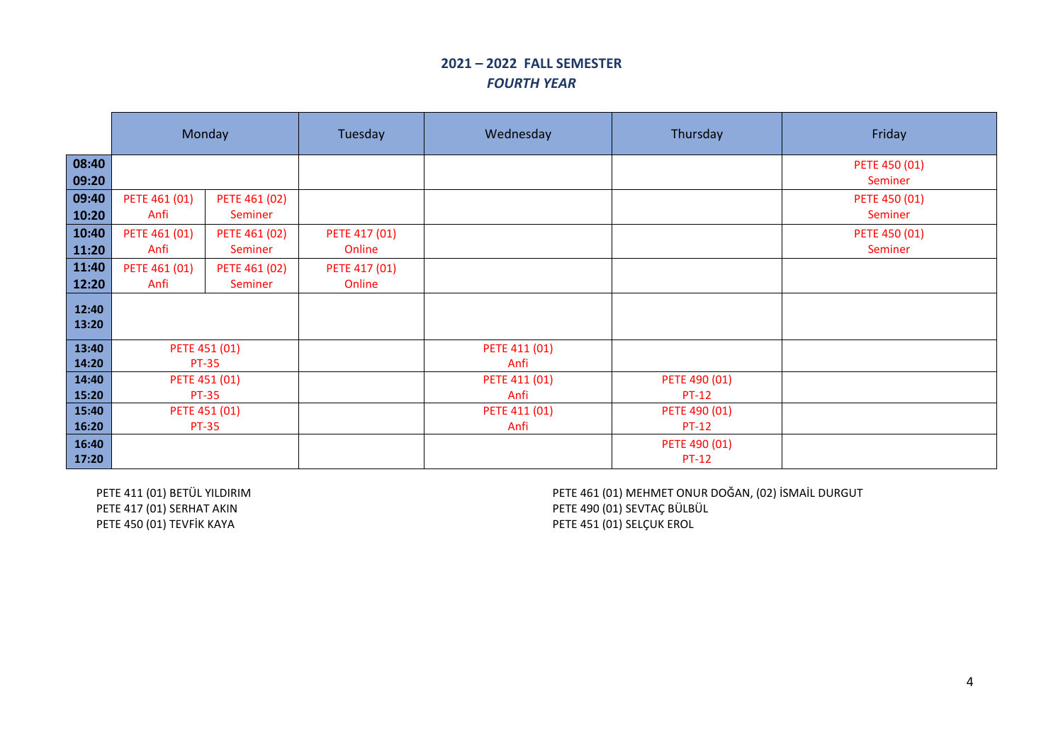### **2021 – 2022 FALL SEMESTER** *FOURTH YEAR*

|                | Monday                        |                          | Tuesday                 | Wednesday             | Thursday                      | Friday                   |
|----------------|-------------------------------|--------------------------|-------------------------|-----------------------|-------------------------------|--------------------------|
| 08:40<br>09:20 |                               |                          |                         |                       |                               | PETE 450 (01)<br>Seminer |
| 09:40<br>10:20 | PETE 461 (01)<br>Anfi         | PETE 461 (02)<br>Seminer |                         |                       |                               | PETE 450 (01)<br>Seminer |
| 10:40<br>11:20 | PETE 461 (01)<br>Anfi         | PETE 461 (02)<br>Seminer | PETE 417 (01)<br>Online |                       |                               | PETE 450 (01)<br>Seminer |
| 11:40<br>12:20 | PETE 461 (01)<br>Anfi         | PETE 461 (02)<br>Seminer | PETE 417 (01)<br>Online |                       |                               |                          |
| 12:40<br>13:20 |                               |                          |                         |                       |                               |                          |
| 13:40<br>14:20 | PETE 451 (01)<br><b>PT-35</b> |                          |                         | PETE 411 (01)<br>Anfi |                               |                          |
| 14:40<br>15:20 | <b>PT-35</b>                  | PETE 451 (01)            |                         | PETE 411 (01)<br>Anfi | PETE 490 (01)<br><b>PT-12</b> |                          |
| 15:40<br>16:20 | <b>PT-35</b>                  | PETE 451 (01)            |                         | PETE 411 (01)<br>Anfi | PETE 490 (01)<br><b>PT-12</b> |                          |
| 16:40<br>17:20 |                               |                          |                         |                       | PETE 490 (01)<br><b>PT-12</b> |                          |

PETE 411 (01) BETÜL YILDIRIM PETE 417 (01) SERHAT AKIN PETE 450 (01) TEVFİK KAYA

PETE 461 (01) MEHMET ONUR DOĞAN, (02) İSMAİL DURGUT PETE 490 (01) SEVTAÇ BÜLBÜL PETE 451 (01) SELÇUK EROL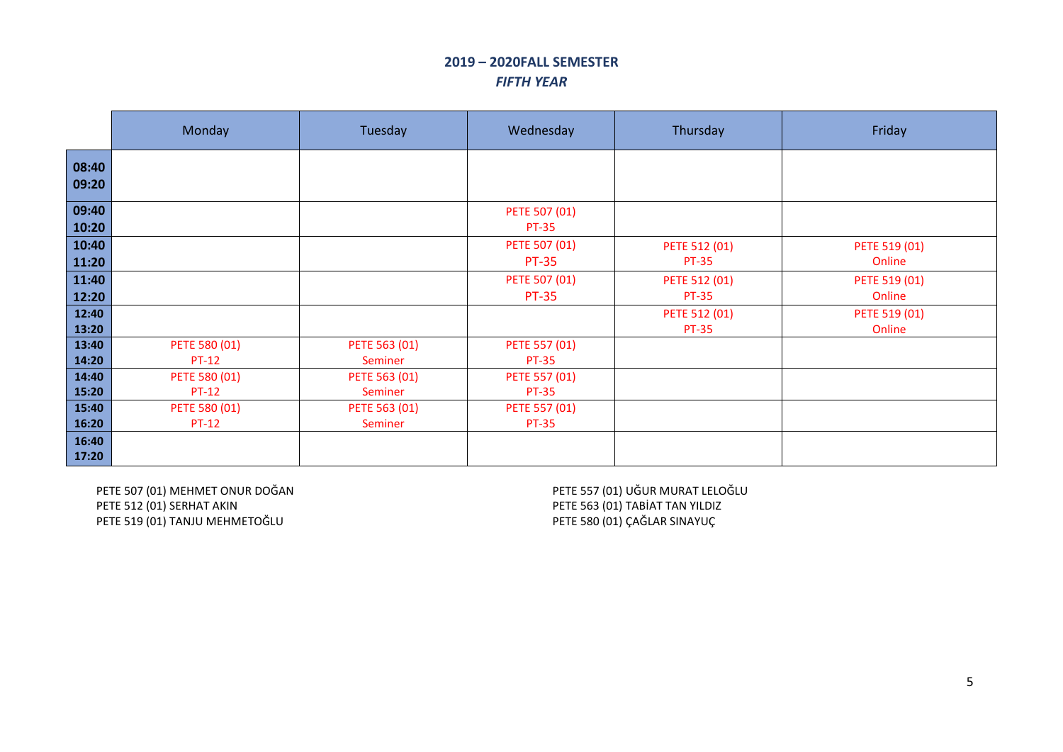#### **2019 – 2020FALL SEMESTER** *FIFTH YEAR*

|                | Monday                        | Tuesday                  | Wednesday                     | Thursday                      | Friday                  |
|----------------|-------------------------------|--------------------------|-------------------------------|-------------------------------|-------------------------|
| 08:40<br>09:20 |                               |                          |                               |                               |                         |
| 09:40<br>10:20 |                               |                          | PETE 507 (01)<br><b>PT-35</b> |                               |                         |
| 10:40<br>11:20 |                               |                          | PETE 507 (01)<br><b>PT-35</b> | PETE 512 (01)<br><b>PT-35</b> | PETE 519 (01)<br>Online |
| 11:40<br>12:20 |                               |                          | PETE 507 (01)<br><b>PT-35</b> | PETE 512 (01)<br><b>PT-35</b> | PETE 519 (01)<br>Online |
| 12:40<br>13:20 |                               |                          |                               | PETE 512 (01)<br><b>PT-35</b> | PETE 519 (01)<br>Online |
| 13:40<br>14:20 | PETE 580 (01)<br><b>PT-12</b> | PETE 563 (01)<br>Seminer | PETE 557 (01)<br><b>PT-35</b> |                               |                         |
| 14:40<br>15:20 | PETE 580 (01)<br><b>PT-12</b> | PETE 563 (01)<br>Seminer | PETE 557 (01)<br><b>PT-35</b> |                               |                         |
| 15:40<br>16:20 | PETE 580 (01)<br><b>PT-12</b> | PETE 563 (01)<br>Seminer | PETE 557 (01)<br><b>PT-35</b> |                               |                         |
| 16:40<br>17:20 |                               |                          |                               |                               |                         |

PETE 507 (01) MEHMET ONUR DOĞAN PETE 512 (01) SERHAT AKIN PETE 519 (01) TANJU MEHMETOĞLU

PETE 557 (01) UĞUR MURAT LELOĞLU PETE 563 (01) TABİAT TAN YILDIZ PETE 580 (01) ÇAĞLAR SINAYUÇ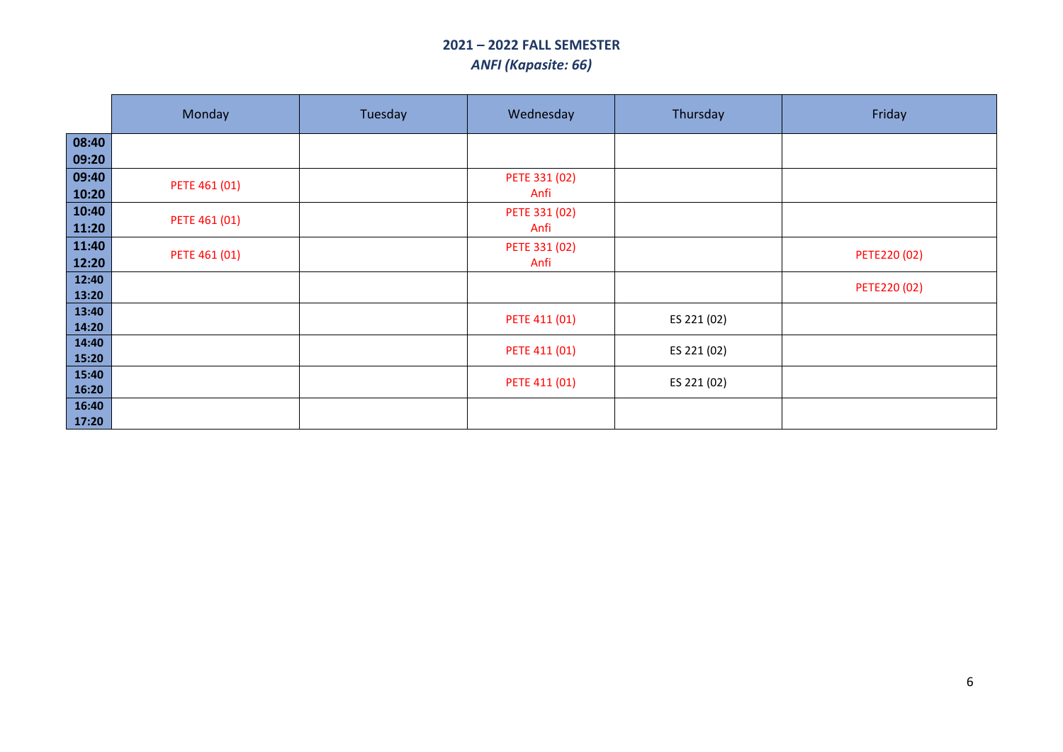# **2021 – 2022 FALL SEMESTER** *ANFI (Kapasite: 66)*

|                | Monday        | Tuesday | Wednesday             | Thursday    | Friday       |
|----------------|---------------|---------|-----------------------|-------------|--------------|
| 08:40<br>09:20 |               |         |                       |             |              |
| 09:40<br>10:20 | PETE 461 (01) |         | PETE 331 (02)<br>Anfi |             |              |
| 10:40<br>11:20 | PETE 461 (01) |         | PETE 331 (02)<br>Anfi |             |              |
| 11:40<br>12:20 | PETE 461 (01) |         | PETE 331 (02)<br>Anfi |             | PETE220 (02) |
| 12:40<br>13:20 |               |         |                       |             | PETE220 (02) |
| 13:40<br>14:20 |               |         | PETE 411 (01)         | ES 221 (02) |              |
| 14:40<br>15:20 |               |         | PETE 411 (01)         | ES 221 (02) |              |
| 15:40<br>16:20 |               |         | PETE 411 (01)         | ES 221 (02) |              |
| 16:40<br>17:20 |               |         |                       |             |              |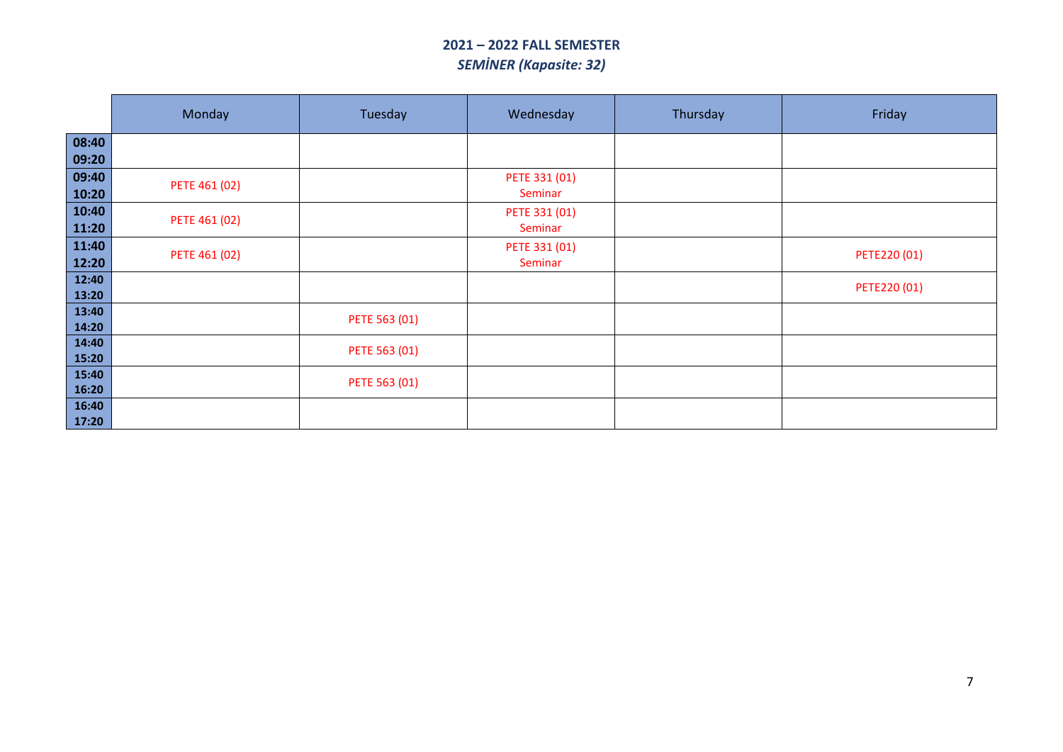## **2021 – 2022 FALL SEMESTER** *SEMİNER (Kapasite: 32)*

|                | Monday        | Tuesday       | Wednesday                | Thursday | Friday       |
|----------------|---------------|---------------|--------------------------|----------|--------------|
| 08:40<br>09:20 |               |               |                          |          |              |
| 09:40<br>10:20 | PETE 461 (02) |               | PETE 331 (01)<br>Seminar |          |              |
| 10:40<br>11:20 | PETE 461 (02) |               | PETE 331 (01)<br>Seminar |          |              |
| 11:40<br>12:20 | PETE 461 (02) |               | PETE 331 (01)<br>Seminar |          | PETE220 (01) |
| 12:40<br>13:20 |               |               |                          |          | PETE220 (01) |
| 13:40<br>14:20 |               | PETE 563 (01) |                          |          |              |
| 14:40<br>15:20 |               | PETE 563 (01) |                          |          |              |
| 15:40<br>16:20 |               | PETE 563 (01) |                          |          |              |
| 16:40<br>17:20 |               |               |                          |          |              |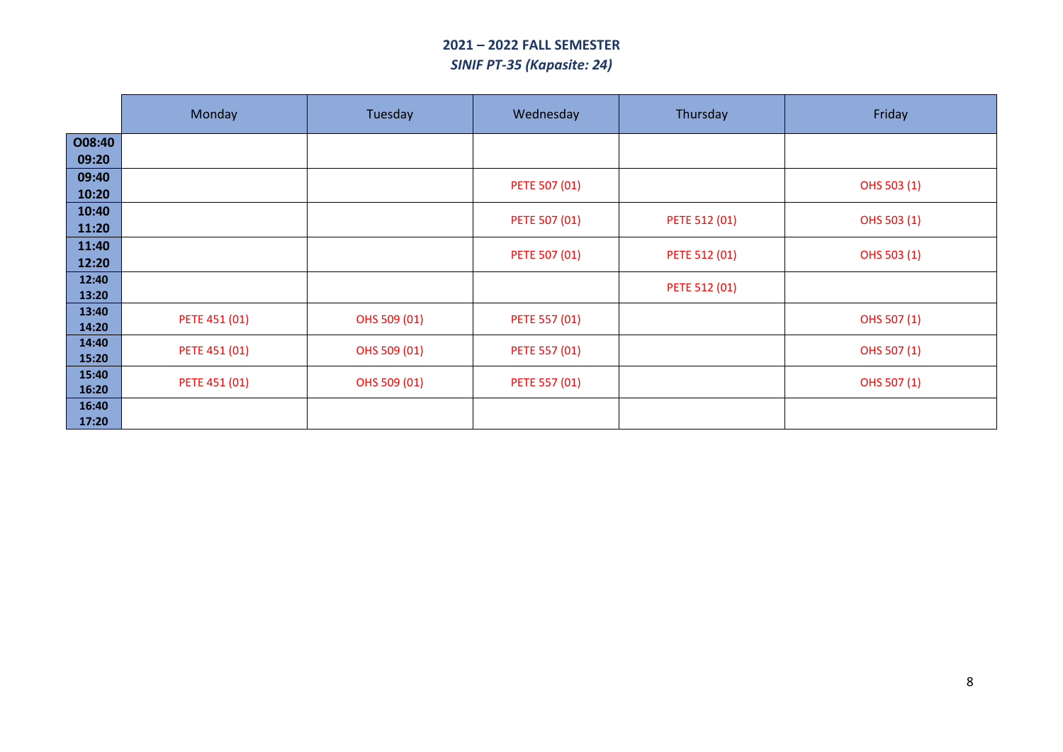## **2021 – 2022 FALL SEMESTER** *SINIF PT-35 (Kapasite: 24)*

|                 | Monday        | Tuesday      | Wednesday     | Thursday      | Friday      |
|-----------------|---------------|--------------|---------------|---------------|-------------|
| 008:40<br>09:20 |               |              |               |               |             |
| 09:40<br>10:20  |               |              | PETE 507 (01) |               | OHS 503 (1) |
| 10:40<br>11:20  |               |              | PETE 507 (01) | PETE 512 (01) | OHS 503 (1) |
| 11:40<br>12:20  |               |              | PETE 507 (01) | PETE 512 (01) | OHS 503 (1) |
| 12:40<br>13:20  |               |              |               | PETE 512 (01) |             |
| 13:40<br>14:20  | PETE 451 (01) | OHS 509 (01) | PETE 557 (01) |               | OHS 507 (1) |
| 14:40<br>15:20  | PETE 451 (01) | OHS 509 (01) | PETE 557 (01) |               | OHS 507 (1) |
| 15:40<br>16:20  | PETE 451 (01) | OHS 509 (01) | PETE 557 (01) |               | OHS 507 (1) |
| 16:40<br>17:20  |               |              |               |               |             |